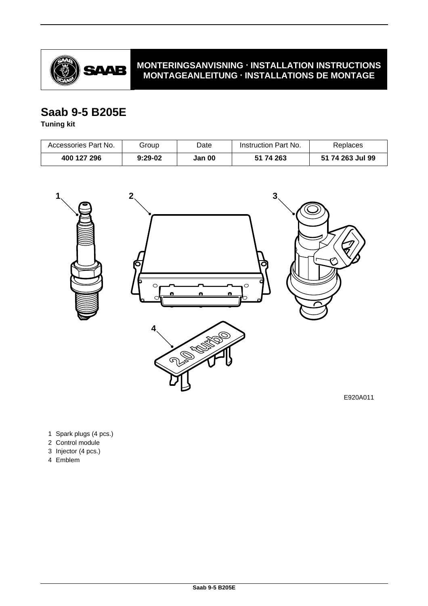

# **MONTERINGSANVISNING · INSTALLATION INSTRUCTIONS MONTAGEANLEITUNG · INSTALLATIONS DE MONTAGE**

# **Saab 9-5 B205E**

**Tuning kit**

| Accessories Part No. | Group     | Date   | Instruction Part No. | Replaces         |
|----------------------|-----------|--------|----------------------|------------------|
| 400 127 296          | $9:29-02$ | Jan 00 | 51 74 263            | 51 74 263 Jul 99 |



E920A011

- 1 Spark plugs (4 pcs.)
- 2 Control module
- 3 Injector (4 pcs.)
- 4 Emblem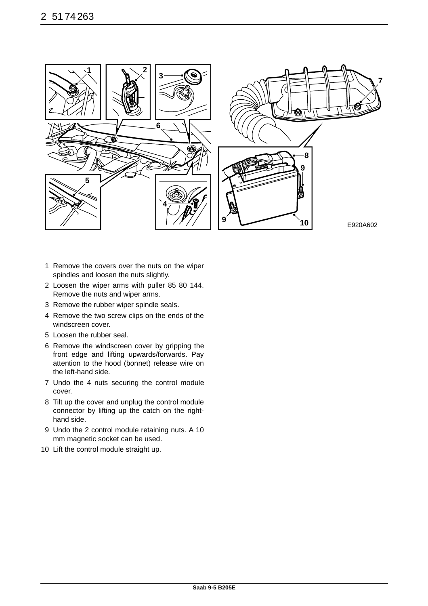

- 1 Remove the covers over the nuts on the wiper spindles and loosen the nuts slightly.
- 2 Loosen the wiper arms with puller 85 80 144. Remove the nuts and wiper arms.
- 3 Remove the rubber wiper spindle seals.
- 4 Remove the two screw clips on the ends of the windscreen cover.
- 5 Loosen the rubber seal.
- 6 Remove the windscreen cover by gripping the front edge and lifting upwards/forwards. Pay attention to the hood (bonnet) release wire on the left-hand side.
- 7 Undo the 4 nuts securing the control module cover.
- 8 Tilt up the cover and unplug the control module connector by lifting up the catch on the righthand side.
- 9 Undo the 2 control module retaining nuts. A 10 mm magnetic socket can be used.
- 10 Lift the control module straight up.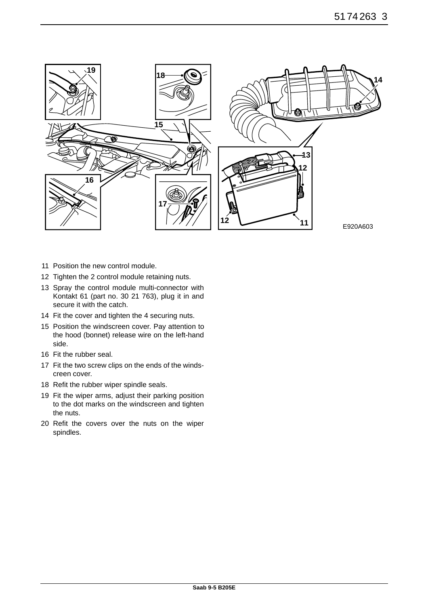

- 11 Position the new control module.
- 12 Tighten the 2 control module retaining nuts.
- 13 Spray the control module multi-connector with Kontakt 61 (part no. 30 21 763), plug it in and secure it with the catch.
- 14 Fit the cover and tighten the 4 securing nuts.
- 15 Position the windscreen cover. Pay attention to the hood (bonnet) release wire on the left-hand side.
- 16 Fit the rubber seal.
- 17 Fit the two screw clips on the ends of the windscreen cover.
- 18 Refit the rubber wiper spindle seals.
- 19 Fit the wiper arms, adjust their parking position to the dot marks on the windscreen and tighten the nuts.
- 20 Refit the covers over the nuts on the wiper spindles.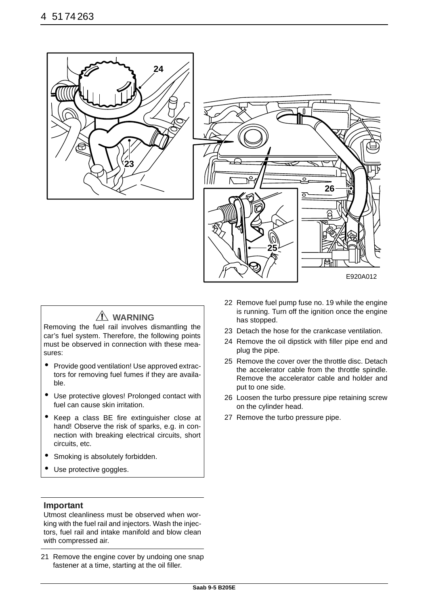



# **WARNING**

Removing the fuel rail involves dismantling the car's fuel system. Therefore, the following points must be observed in connection with these measures:

- Provide good ventilation! Use approved extractors for removing fuel fumes if they are available.
- Use protective gloves! Prolonged contact with fuel can cause skin irritation.
- Keep a class BE fire extinguisher close at hand! Observe the risk of sparks, e.g. in connection with breaking electrical circuits, short circuits, etc.
- Smoking is absolutely forbidden.
- Use protective goggles.

### **Important**

Utmost cleanliness must be observed when working with the fuel rail and injectors. Wash the injectors, fuel rail and intake manifold and blow clean with compressed air.

21 Remove the engine cover by undoing one snap fastener at a time, starting at the oil filler.

- 22 Remove fuel pump fuse no. 19 while the engine is running. Turn off the ignition once the engine has stopped.
- 23 Detach the hose for the crankcase ventilation.
- 24 Remove the oil dipstick with filler pipe end and plug the pipe.
- 25 Remove the cover over the throttle disc. Detach the accelerator cable from the throttle spindle. Remove the accelerator cable and holder and put to one side.
- 26 Loosen the turbo pressure pipe retaining screw on the cylinder head.
- 27 Remove the turbo pressure pipe.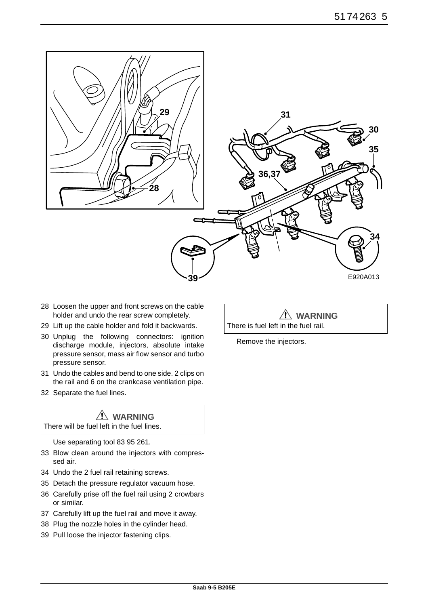

- 28 Loosen the upper and front screws on the cable holder and undo the rear screw completely.
- 29 Lift up the cable holder and fold it backwards.
- 30 Unplug the following connectors: ignition discharge module, injectors, absolute intake pressure sensor, mass air flow sensor and turbo pressure sensor.
- 31 Undo the cables and bend to one side. 2 clips on the rail and 6 on the crankcase ventilation pipe.
- 32 Separate the fuel lines.

# **WARNING**

There will be fuel left in the fuel lines.

Use separating tool 83 95 261.

- 33 Blow clean around the injectors with compressed air.
- 34 Undo the 2 fuel rail retaining screws.
- 35 Detach the pressure regulator vacuum hose.
- 36 Carefully prise off the fuel rail using 2 crowbars or similar.
- 37 Carefully lift up the fuel rail and move it away.
- 38 Plug the nozzle holes in the cylinder head.
- 39 Pull loose the injector fastening clips.

**WARNING** There is fuel left in the fuel rail.

Remove the injectors.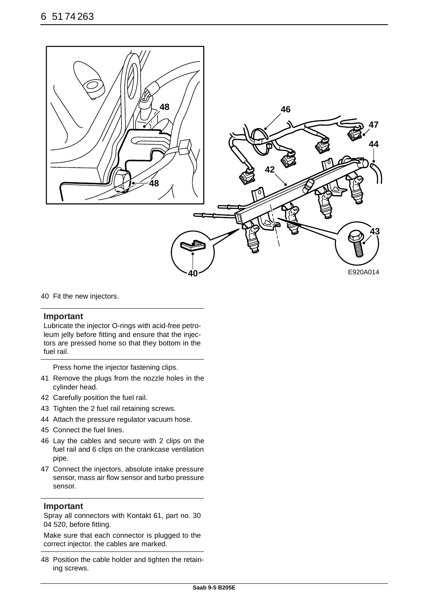

40 Fit the new injectors.

#### **Important**

Lubricate the injector O-rings with acid-free petroleum jelly before fitting and ensure that the injectors are pressed home so that they bottom in the fuel rail.

Press home the injector fastening clips.

- 41 Remove the plugs from the nozzle holes in the cylinder head.
- 42 Carefully position the fuel rail.
- 43 Tighten the 2 fuel rail retaining screws.
- 44 Attach the pressure regulator vacuum hose.
- 45 Connect the fuel lines.
- 46 Lay the cables and secure with 2 clips on the fuel rail and 6 clips on the crankcase ventilation pipe.
- 47 Connect the injectors, absolute intake pressure sensor, mass air flow sensor and turbo pressure sensor.

#### **Important**

Spray all connectors with Kontakt 61, part no. 30 04 520, before fitting.

Make sure that each connector is plugged to the correct injector. the cables are marked.

48 Position the cable holder and tighten the retaining screws.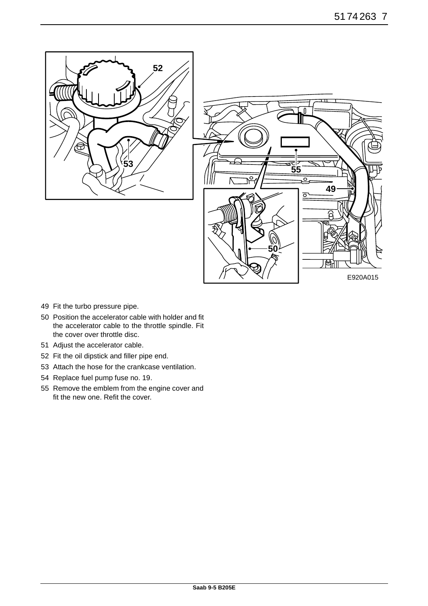



- 49 Fit the turbo pressure pipe.
- 50 Position the accelerator cable with holder and fit the accelerator cable to the throttle spindle. Fit the cover over throttle disc.
- 51 Adjust the accelerator cable.
- 52 Fit the oil dipstick and filler pipe end.
- 53 Attach the hose for the crankcase ventilation.
- 54 Replace fuel pump fuse no. 19.
- 55 Remove the emblem from the engine cover and fit the new one. Refit the cover.